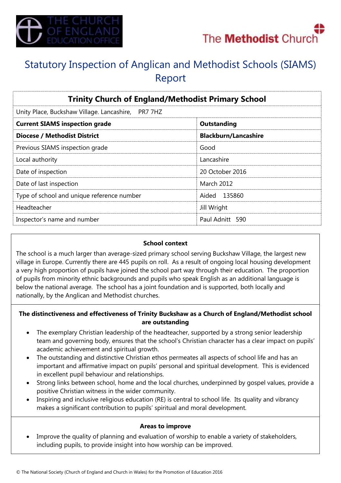



# Statutory Inspection of Anglican and Methodist Schools (SIAMS) Report

| <b>Trinity Church of England/Methodist Primary School</b> |                             |
|-----------------------------------------------------------|-----------------------------|
| Unity Place, Buckshaw Village. Lancashire, PR7 7HZ        |                             |
| <b>Current SIAMS inspection grade</b>                     | Outstanding                 |
| <b>Diocese / Methodist District</b>                       | <b>Blackburn/Lancashire</b> |
| Previous SIAMS inspection grade                           | Good                        |
| Local authority                                           | Lancashire                  |
| Date of inspection                                        | 20 October 2016             |
| Date of last inspection                                   | <b>March 2012</b>           |
| Type of school and unique reference number                | Aided 135860                |
| Headteacher                                               | Jill Wright                 |
| Inspector's name and number                               | Paul Adnitt 590             |

#### **School context**

The school is a much larger than average-sized primary school serving Buckshaw Village, the largest new village in Europe. Currently there are 445 pupils on roll. As a result of ongoing local housing development a very high proportion of pupils have joined the school part way through their education. The proportion of pupils from minority ethnic backgrounds and pupils who speak English as an additional language is below the national average. The school has a joint foundation and is supported, both locally and nationally, by the Anglican and Methodist churches.

#### **The distinctiveness and effectiveness of Trinity Buckshaw as a Church of England/Methodist school are outstanding**

- The exemplary Christian leadership of the headteacher, supported by a strong senior leadership team and governing body, ensures that the school's Christian character has a clear impact on pupils' academic achievement and spiritual growth.
- The outstanding and distinctive Christian ethos permeates all aspects of school life and has an important and affirmative impact on pupils' personal and spiritual development. This is evidenced in excellent pupil behaviour and relationships.
- Strong links between school, home and the local churches, underpinned by gospel values, provide a positive Christian witness in the wider community.
- Inspiring and inclusive religious education (RE) is central to school life. Its quality and vibrancy makes a significant contribution to pupils' spiritual and moral development.

### **Areas to improve**

 Improve the quality of planning and evaluation of worship to enable a variety of stakeholders, including pupils, to provide insight into how worship can be improved.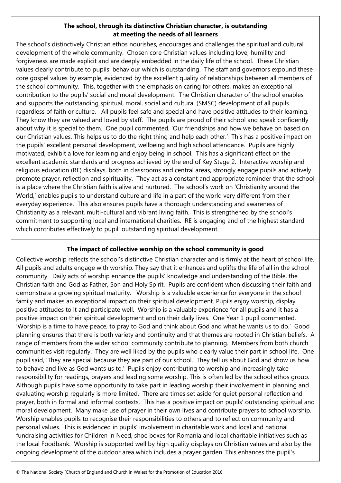## **The school, through its distinctive Christian character, is outstanding at meeting the needs of all learners**

The school's distinctively Christian ethos nourishes, encourages and challenges the spiritual and cultural development of the whole community. Chosen core Christian values including love, humility and forgiveness are made explicit and are deeply embedded in the daily life of the school. These Christian values clearly contribute to pupils' behaviour which is outstanding. The staff and governors expound these core gospel values by example, evidenced by the excellent quality of relationships between all members of the school community. This, together with the emphasis on caring for others, makes an exceptional contribution to the pupils' social and moral development. The Christian character of the school enables and supports the outstanding spiritual, moral, social and cultural (SMSC) development of all pupils regardless of faith or culture. All pupils feel safe and special and have positive attitudes to their learning. They know they are valued and loved by staff. The pupils are proud of their school and speak confidently about why it is special to them. One pupil commented, 'Our friendships and how we behave on based on our Christian values. This helps us to do the right thing and help each other.' This has a positive impact on the pupils' excellent personal development, wellbeing and high school attendance. Pupils are highly motivated, exhibit a love for learning and enjoy being in school. This has a significant effect on the excellent academic standards and progress achieved by the end of Key Stage 2. Interactive worship and religious education (RE) displays, both in classrooms and central areas, strongly engage pupils and actively promote prayer, reflection and spirituality. They act as a constant and appropriate reminder that the school is a place where the Christian faith is alive and nurtured. The school's work on 'Christianity around the World,' enables pupils to understand culture and life in a part of the world very different from their everyday experience. This also ensures pupils have a thorough understanding and awareness of Christianity as a relevant, multi-cultural and vibrant living faith. This is strengthened by the school's commitment to supporting local and international charities. RE is engaging and of the highest standard which contributes effectively to pupil' outstanding spiritual development.

# **The impact of collective worship on the school community is good**

Collective worship reflects the school's distinctive Christian character and is firmly at the heart of school life. All pupils and adults engage with worship. They say that it enhances and uplifts the life of all in the school community. Daily acts of worship enhance the pupils' knowledge and understanding of the Bible, the Christian faith and God as Father, Son and Holy Spirit. Pupils are confident when discussing their faith and demonstrate a growing spiritual maturity. Worship is a valuable experience for everyone in the school family and makes an exceptional impact on their spiritual development. Pupils enjoy worship, display positive attitudes to it and participate well. Worship is a valuable experience for all pupils and it has a positive impact on their spiritual development and on their daily lives. One Year 1 pupil commented, 'Worship is a time to have peace, to pray to God and think about God and what he wants us to do.' Good planning ensures that there is both variety and continuity and that themes are rooted in Christian beliefs. A range of members from the wider school community contribute to planning. Members from both church communities visit regularly. They are well liked by the pupils who clearly value their part in school life. One pupil said, 'They are special because they are part of our school. They tell us about God and show us how to behave and live as God wants us to.' Pupils enjoy contributing to worship and increasingly take responsibility for readings, prayers and leading some worship. This is often led by the school ethos group. Although pupils have some opportunity to take part in leading worship their involvement in planning and evaluating worship regularly is more limited. There are times set aside for quiet personal reflection and prayer, both in formal and informal contexts. This has a positive impact on pupils' outstanding spiritual and moral development. Many make use of prayer in their own lives and contribute prayers to school worship. Worship enables pupils to recognise their responsibilities to others and to reflect on community and personal values. This is evidenced in pupils' involvement in charitable work and local and national fundraising activities for Children in Need, shoe boxes for Romania and local charitable initiatives such as the local Foodbank. Worship is supported well by high quality displays on Christian values and also by the ongoing development of the outdoor area which includes a prayer garden. This enhances the pupil's